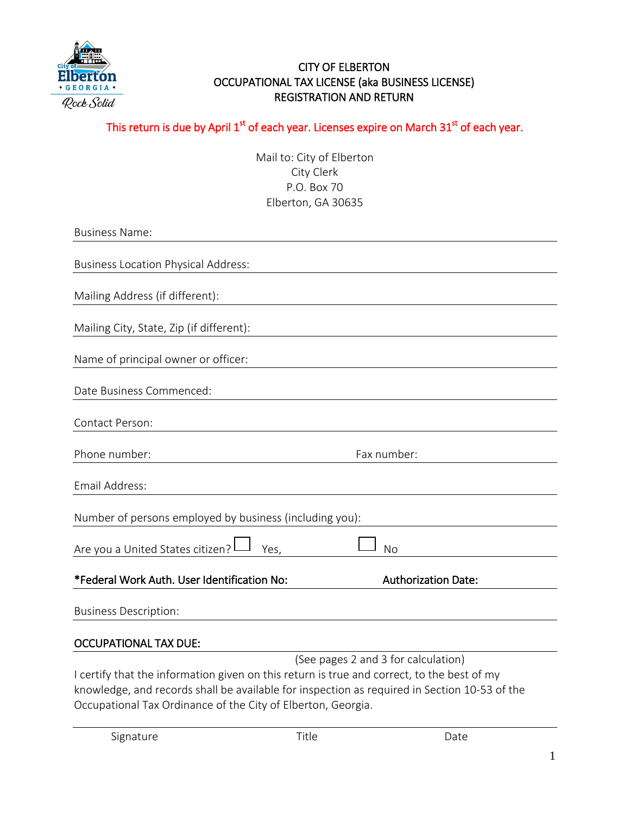

# CITY OF ELBERTON OCCUPATIONAL TAX LICENSE (aka BUSINESS LICENSE) REGISTRATION AND RETURN

# This return is due by April  $1^\text{st}$  of each year. Licenses expire on March 31 $^\text{st}$  of each year.

Mail to: City of Elberton City Clerk P.O. Box 70 Elberton, GA 30635

| <b>Business Name:</b>                                                                        |
|----------------------------------------------------------------------------------------------|
|                                                                                              |
| <b>Business Location Physical Address:</b>                                                   |
| Mailing Address (if different):                                                              |
| Mailing City, State, Zip (if different):                                                     |
| Name of principal owner or officer:                                                          |
| Date Business Commenced:                                                                     |
| Contact Person:                                                                              |
| Phone number:<br>Fax number:                                                                 |
| Email Address:                                                                               |
| Number of persons employed by business (including you):                                      |
| Are you a United States citizen?<br>Nο<br>Yes,                                               |
| *Federal Work Auth. User Identification No:<br><b>Authorization Date:</b>                    |
| <b>Business Description:</b>                                                                 |
| <b>OCCUPATIONAL TAX DUE:</b>                                                                 |
| (See pages 2 and 3 for calculation)                                                          |
| I certify that the information given on this return is true and correct, to the best of my   |
| knowledge, and records shall be available for inspection as required in Section 10-53 of the |
| Occupational Tax Ordinance of the City of Elberton, Georgia.                                 |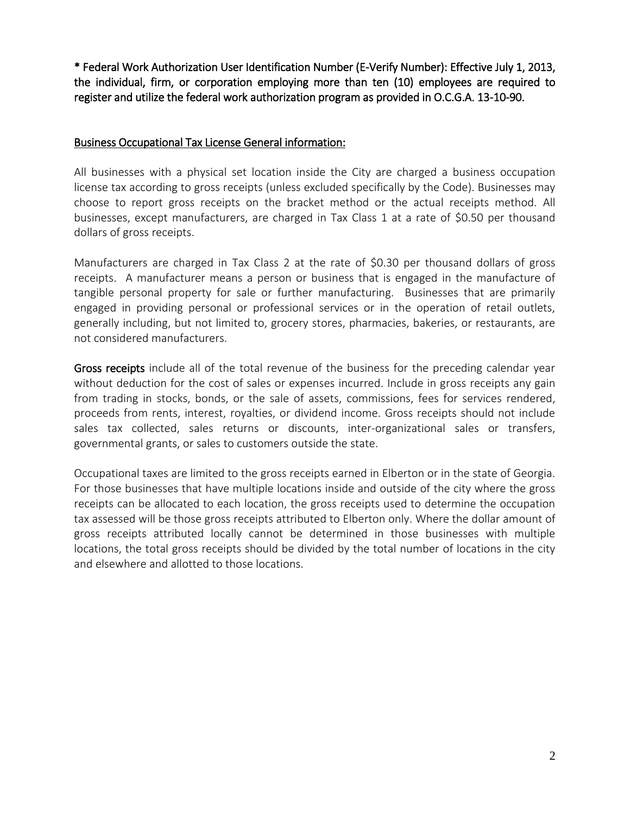\* Federal Work Authorization User Identification Number (E-Verify Number): Effective July 1, 2013, the individual, firm, or corporation employing more than ten (10) employees are required to register and utilize the federal work authorization program as provided in O.C.G.A. 13-10-90.

#### Business Occupational Tax License General information:

All businesses with a physical set location inside the City are charged a business occupation license tax according to gross receipts (unless excluded specifically by the Code). Businesses may choose to report gross receipts on the bracket method or the actual receipts method. All businesses, except manufacturers, are charged in Tax Class 1 at a rate of \$0.50 per thousand dollars of gross receipts.

Manufacturers are charged in Tax Class 2 at the rate of \$0.30 per thousand dollars of gross receipts. A manufacturer means a person or business that is engaged in the manufacture of tangible personal property for sale or further manufacturing. Businesses that are primarily engaged in providing personal or professional services or in the operation of retail outlets, generally including, but not limited to, grocery stores, pharmacies, bakeries, or restaurants, are not considered manufacturers.

Gross receipts include all of the total revenue of the business for the preceding calendar year without deduction for the cost of sales or expenses incurred. Include in gross receipts any gain from trading in stocks, bonds, or the sale of assets, commissions, fees for services rendered, proceeds from rents, interest, royalties, or dividend income. Gross receipts should not include sales tax collected, sales returns or discounts, inter-organizational sales or transfers, governmental grants, or sales to customers outside the state.

Occupational taxes are limited to the gross receipts earned in Elberton or in the state of Georgia. For those businesses that have multiple locations inside and outside of the city where the gross receipts can be allocated to each location, the gross receipts used to determine the occupation tax assessed will be those gross receipts attributed to Elberton only. Where the dollar amount of gross receipts attributed locally cannot be determined in those businesses with multiple locations, the total gross receipts should be divided by the total number of locations in the city and elsewhere and allotted to those locations.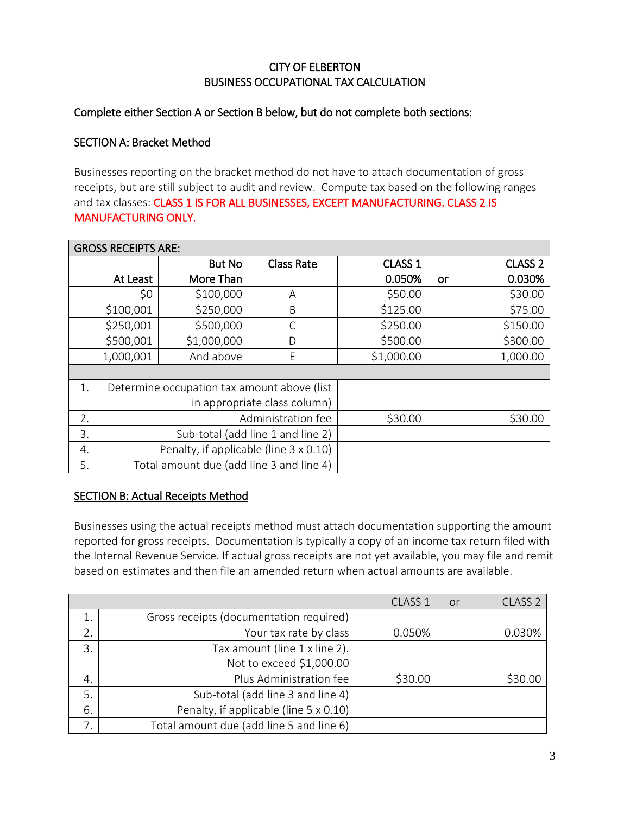# CITY OF ELBERTON BUSINESS OCCUPATIONAL TAX CALCULATION

## Complete either Section A or Section B below, but do not complete both sections:

#### SECTION A: Bracket Method

Businesses reporting on the bracket method do not have to attach documentation of gross receipts, but are still subject to audit and review. Compute tax based on the following ranges and tax classes: CLASS 1 IS FOR ALL BUSINESSES, EXCEPT MANUFACTURING. CLASS 2 IS MANUFACTURING ONLY.

| <b>GROSS RECEIPTS ARE:</b> |                                             |               |                   |                    |          |                    |
|----------------------------|---------------------------------------------|---------------|-------------------|--------------------|----------|--------------------|
|                            |                                             | <b>But No</b> | <b>Class Rate</b> | CLASS <sub>1</sub> |          | CLASS <sub>2</sub> |
| At Least                   |                                             | More Than     |                   | 0.050%             | or       | 0.030%             |
| \$0                        |                                             | \$100,000     | Α                 | \$50.00            |          | \$30.00            |
| \$100,001                  |                                             | \$250,000     | B                 | \$125.00           |          | \$75.00            |
| \$250,001                  |                                             | \$500,000     | C                 | \$250.00           |          | \$150.00           |
|                            | \$500,001                                   | \$1,000,000   | D                 | \$500.00           |          | \$300.00           |
| And above<br>1,000,001     |                                             | E             | \$1,000.00        |                    | 1,000.00 |                    |
|                            |                                             |               |                   |                    |          |                    |
| 1.                         | Determine occupation tax amount above (list |               |                   |                    |          |                    |
|                            | in appropriate class column)                |               |                   |                    |          |                    |
| 2.                         | Administration fee<br>\$30.00               |               |                   |                    |          | \$30.00            |
| 3.                         |                                             |               |                   |                    |          |                    |
| 4.                         |                                             |               |                   |                    |          |                    |
| 5.                         | Total amount due (add line 3 and line 4)    |               |                   |                    |          |                    |

#### SECTION B: Actual Receipts Method

Businesses using the actual receipts method must attach documentation supporting the amount reported for gross receipts. Documentation is typically a copy of an income tax return filed with the Internal Revenue Service. If actual gross receipts are not yet available, you may file and remit based on estimates and then file an amended return when actual amounts are available.

|               |                                          | CLASS <sub>1</sub> | or | CLASS <sub>2</sub> |
|---------------|------------------------------------------|--------------------|----|--------------------|
|               | Gross receipts (documentation required)  |                    |    |                    |
| 2.            | Your tax rate by class                   | 0.050%             |    | 0.030%             |
| $\mathcal{E}$ | Tax amount (line 1 x line 2).            |                    |    |                    |
|               | Not to exceed \$1,000.00                 |                    |    |                    |
| 4.            | Plus Administration fee                  | \$30.00            |    | \$30.00            |
| 5.            | Sub-total (add line 3 and line 4)        |                    |    |                    |
| 6.            | Penalty, if applicable (line 5 x 0.10)   |                    |    |                    |
|               | Total amount due (add line 5 and line 6) |                    |    |                    |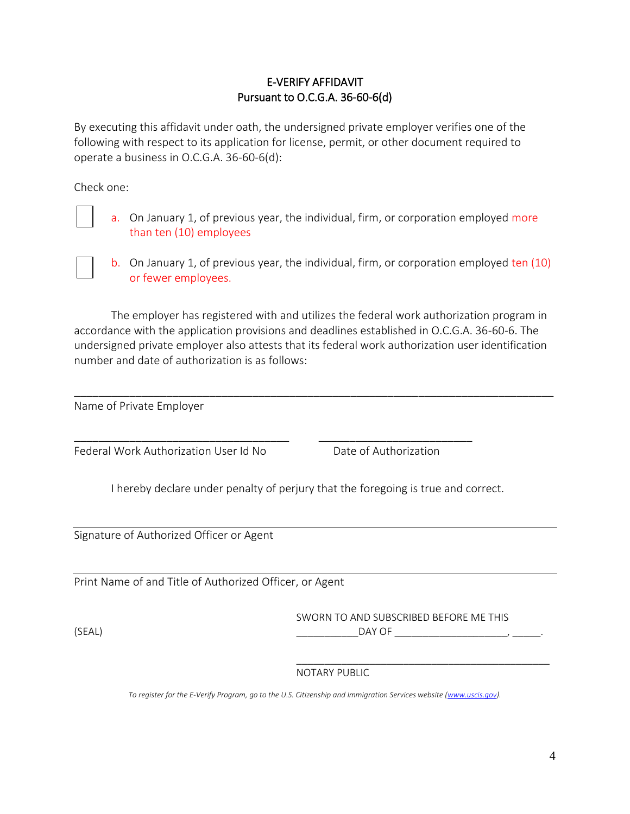# E-VERIFY AFFIDAVIT Pursuant to O.C.G.A. 36-60-6(d)

By executing this affidavit under oath, the undersigned private employer verifies one of the following with respect to its application for license, permit, or other document required to operate a business in O.C.G.A. 36-60-6(d):

Check one:

a. On January 1, of previous year, the individual, firm, or corporation employed more than ten (10) employees

b. On January 1, of previous year, the individual, firm, or corporation employed ten (10) or fewer employees.

The employer has registered with and utilizes the federal work authorization program in accordance with the application provisions and deadlines established in O.C.G.A. 36-60-6. The undersigned private employer also attests that its federal work authorization user identification number and date of authorization is as follows:

\_\_\_\_\_\_\_\_\_\_\_\_\_\_\_\_\_\_\_\_\_\_\_\_\_\_\_\_\_\_\_\_\_\_\_\_\_\_\_\_\_\_\_\_\_\_\_\_\_\_\_\_\_\_\_\_\_\_\_\_\_\_\_\_\_\_\_\_\_\_\_\_\_\_\_\_\_\_

Name of Private Employer

Federal Work Authorization User Id No Date of Authorization

I hereby declare under penalty of perjury that the foregoing is true and correct.

\_\_\_\_\_\_\_\_\_\_\_\_\_\_\_\_\_\_\_\_\_\_\_\_\_\_\_\_\_\_\_\_\_\_\_ \_\_\_\_\_\_\_\_\_\_\_\_\_\_\_\_\_\_\_\_\_\_\_\_\_

Signature of Authorized Officer or Agent

Print Name of and Title of Authorized Officer, or Agent

SWORN TO AND SUBSCRIBED BEFORE ME THIS

\_\_\_\_\_\_\_\_\_\_\_\_\_\_\_\_\_\_\_\_\_\_\_\_\_\_\_\_\_\_\_\_\_\_\_\_\_\_\_\_\_\_\_\_\_

(SEAL) \_\_\_\_\_\_\_\_\_\_\_DAY OF \_\_\_\_\_\_\_\_\_\_\_\_\_\_\_\_\_\_\_\_, \_\_\_\_\_.

#### NOTARY PUBLIC

To register for the E-Verify Program, go to the U.S. Citizenship and Immigration Services website [\(www.uscis.gov\)](http://www.uscis.gov/).